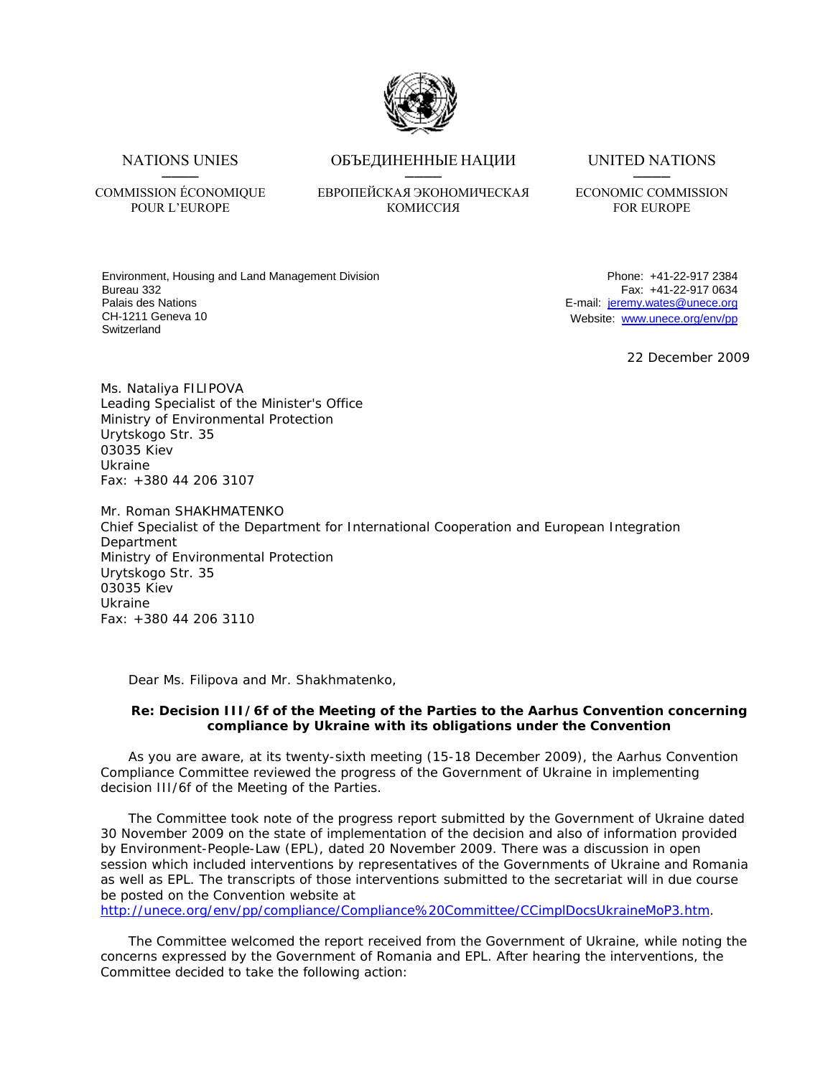

──── ──── ────

## NATIONS UNIES ОБЪЕДИНЕННЫЕ НАЦИИ UNITED NATIONS

## COMMISSION ÉCONOMIQUE ЕВРОПЕЙСКАЯ ЭКОНОМИЧЕСКАЯ ECONOMIC COMMISSION POUR L'EUROPE КОМИССИЯ FOR EUROPE

Environment, Housing and Land Management Division Bureau 332 Palais des Nations CH-1211 Geneva 10 Switzerland

Phone: +41-22-917 2384 Fax: +41-22-917 0634 E-mail: jeremy.wates@unece.org Website: www.unece.org/env/pp

22 December 2009

Ms. Nataliya FILIPOVA Leading Specialist of the Minister's Office Ministry of Environmental Protection Urytskogo Str. 35 03035 Kiev Ukraine Fax: +380 44 206 3107

Mr. Roman SHAKHMATENKO Chief Specialist of the Department for International Cooperation and European Integration **Department** Ministry of Environmental Protection Urytskogo Str. 35 03035 Kiev Ukraine Fax: +380 44 206 3110

Dear Ms. Filipova and Mr. Shakhmatenko,

## **Re: Decision III/6f of the Meeting of the Parties to the Aarhus Convention concerning compliance by Ukraine with its obligations under the Convention**

As you are aware, at its twenty-sixth meeting (15-18 December 2009), the Aarhus Convention Compliance Committee reviewed the progress of the Government of Ukraine in implementing decision III/6f of the Meeting of the Parties.

The Committee took note of the progress report submitted by the Government of Ukraine dated 30 November 2009 on the state of implementation of the decision and also of information provided by Environment-People-Law (EPL), dated 20 November 2009. There was a discussion in open session which included interventions by representatives of the Governments of Ukraine and Romania as well as EPL. The transcripts of those interventions submitted to the secretariat will in due course be posted on the Convention website at

http://unece.org/env/pp/compliance/Compliance%20Committee/CCimplDocsUkraineMoP3.htm.

The Committee welcomed the report received from the Government of Ukraine, while noting the concerns expressed by the Government of Romania and EPL. After hearing the interventions, the Committee decided to take the following action: